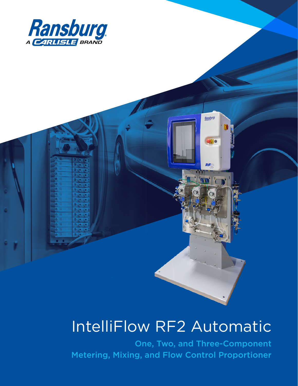

# IntelliFlow RF2 Automatic

Ransburg

 $50$ 

**RF** 

One, Two, and Three-Component Metering, Mixing, and Flow Control Proportioner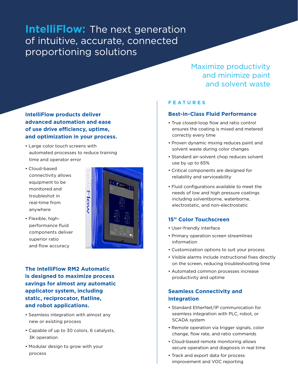## **IntelliFlow:** The next generation of intuitive, accurate, connected proportioning solutions

#### **IntelliFlow products deliver advanced automation and ease of use drive efficiency, uptime, and optimization in your process.**

- Large color touch screens with automated processes to reduce training time and operator error
- Cloud-based connectivity allows equipment to be monitored and troubleshot in real-time from anywhere

• Flexible, highperformance fluid components deliver



superior ratio and flow accuracy **The IntelliFlow RM2 Automatic is designed to maximize process savings for almost any automatic applicator system, including** 

### **static, reciprocator, flatline, and robot applications.**

- Seamless integration with almost any new or existing process
- Capable of up to 30 colors, 6 catalysts, 3K operation
- Modular design to grow with your process

Maximize productivity and minimize paint and solvent waste

#### **FEATURES**

#### **Best-in-Class Fluid Performance**

- True closed-loop flow and ratio control ensures the coating is mixed and metered correctly every time
- Proven dynamic mixing reduces paint and solvent waste during color changes
- Standard air-solvent chop reduces solvent use by up to 65%
- Critical components are designed for reliability and serviceability
- Fluid configurations available to meet the needs of low and high pressure coatings including solventborne, waterborne, electrostatic, and non-electrostatic

#### **15" Color Touchscreen**

- User-friendly interface
- Primary operation screen streamlines information
- Customization options to suit your process
- Visible alarms include instructional fixes directly on the screen, reducing troubleshooting time
- Automated common processes increase productivity and uptime

#### **Seamless Connectivity and Integration**

- Standard EtherNet/IP communication for seamless integration with PLC, robot, or SCADA system
- Remote operation via trigger signals, color change, flow rate, and ratio commands
- Cloud-based remote monitoring allows secure operation and diagnosis in real time
- Track and export data for process improvement and VOC reporting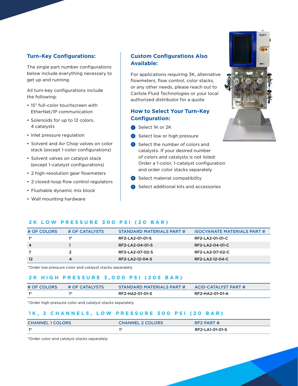#### **Turn-Key Configurations:**

The single part number configurations below include everything necessary to get up and running

All turn-key configurations include the following:

- 15" full-color touchscreen with EtherNet/IP communication
- Solenoids for up to 12 colors, 4 catalysts
- Inlet pressure regulation
- Solvent and Air Chop valves on color stack (except 1-color configurations)
- Solvent valves on catalyst stack (except 1-catalyst configurations)
- 2 high-resolution gear flowmeters
- 2 closed-loop flow control regulators
- Flushable dynamic mix block
- Wall mounting hardware

#### **Custom Configurations Also Available:**

For applications requiring 3K, alternative flowmeters, flow control, color stacks, or any other needs, please reach out to Carlisle Fluid Technologies or your local authorized distributor for a quote

#### **How to Select Your Turn-Key Configuration:**

- **B** Select 1K or 2K
- 2 Select low or high pressure
- **3** Select the number of colors and catalysts. If your desired number of colors and catalysts is not listed: Order a 1-color, 1-catalyst configuration and order color stacks separately
- 4 Select material compatibility
- 5 Select additional kits and accessories

#### **2K LOW PRESSURE 300 PSI (20 BAR)**

| # OF COLORS    | # OF CATALYSTS | STANDARD MATERIALS PART # | <b>ISOCYANATE MATERIALS PART #</b> |
|----------------|----------------|---------------------------|------------------------------------|
| $1*$           | $1*$           | RF2-LA2-01-01-S           | RF2-LA2-01-01-C                    |
| $\overline{4}$ |                | <b>RF2-LA2-04-01-S</b>    | RF2-LA2-04-01-C                    |
|                |                | RF2-LA2-07-02-S           | RF2-LA2-07-02-C                    |
| -12            | 4              | RF2-LA2-12-04-S           | RF2-LA2-12-04-C                    |

\*Order low pressure color and catalyst stacks separately

#### **2K HIGH PRESSURE 3,000 PSI (205 BAR)**

| # OF COLORS             | # OF CATALYSTS | STANDARD MATERIALS PART # | <b>ACID-CATALYST PART #</b> |
|-------------------------|----------------|---------------------------|-----------------------------|
| $\overline{\mathbf{1}}$ |                | RF2-HA2-01-01-S           | RF2-HA2-01-01-A             |

\*Order high pressure color and catalyst stacks separately

#### **1K, 2 CHANNELS, LOW PRESSURE 300 PSI (20 BAR)**

| <b>CHANNEL 1 COLORS</b> | <b>CHANNEL 2 COLORS</b> | RF2 PART #      |
|-------------------------|-------------------------|-----------------|
| $\mathbf{1}^*$          | 情念                      | RF2-LA1-01-01-S |

\*Order color and catalyst stacks separately